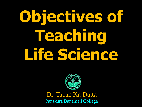# **Objectives of Teaching Life Science**



Dr. Tapan Kr. Dutta Panskura Banamali College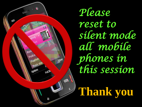

*Please reset to silent mode all mobile phones in this session*

**Thank you**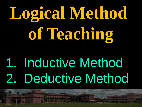# **Logical Method of Teaching**

## 1. Inductive Method 2. Deductive Method

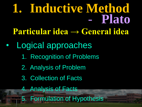#### **1. Inductive Method** - **Plato Particular idea → General idea**

- Logical approaches
	- 1. Recognition of Problems
	- 2. Analysis of Problem
	- 3. Collection of Facts
	- 4. Analysis of Facts
	- 5. Formulation of Hypothesis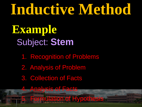#### **Inductive Method** Subject: **Stem**  1. Recognition of Problems 2. Analysis of Problem 3. Collection of Facts 4. Analysis of Facts Formulation of Hypothesis **Example**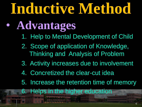## **Inductive Method**

#### • **Advantages**

- 1. Help to Mental Development of Child
- 2. Scope of application of Knowledge, Thinking and Analysis of Problem
- 3. Activity increases due to involvement
- 4. Concretized the clear-cut idea
- 5. Increase the retention time of memory
- 6. Helps in the higher education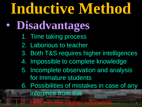## **Inductive Method**

#### • **Disadvantages**

- 1. Time taking process
- 2. Laborious to teacher
- 3. Both T&S requires higher intelligences
- 4. Impossible to complete knowledge
- 5. Incomplete observation and analysis for Immature students
- 6. Possibilities of mistakes in case of any inference from this

**Helps in the higher education** 

7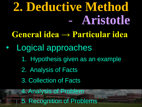### **2. Deductive Method** - **Aristotle**

- **General idea → Particular idea**
- Logical approaches
	- 1. Hypothesis given as an example

8

- 2. Analysis of Facts
- 3. Collection of Facts
- 4. Analysis of Problem 5. Recognition of Problems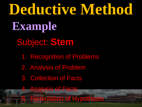**Deductive Method** Subject: **Stem**  1. Recognition of Problems 2. Analysis of Problem 3. Collection of Facts 4. Analysis of Facts 5. Formulation of Hypothesis **Example**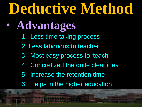## **Deductive Method**

- **Advantages**
	- 1. Less time taking process
	- 2. Less laborious to teacher
	- 3. Most easy process to 'teach'
	- 4. Concretized the quite clear idea
	- 5. Increase the retention time
	- 6. Helps in the higher education